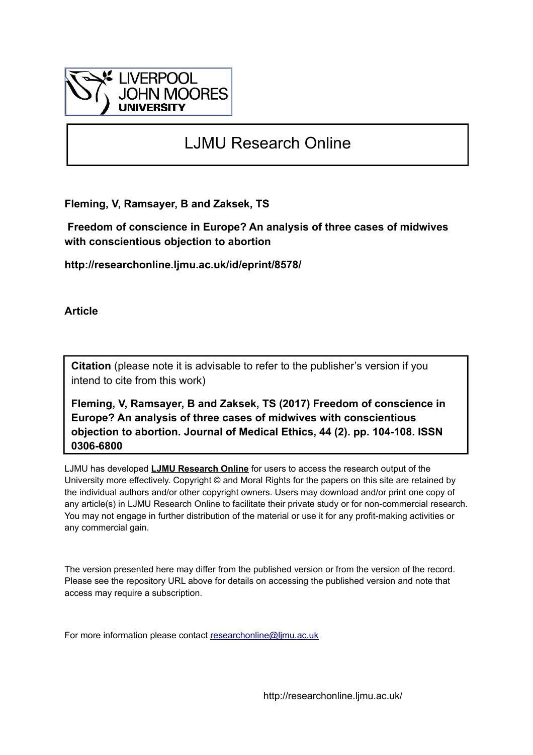

# LJMU Research Online

**Fleming, V, Ramsayer, B and Zaksek, TS**

 **Freedom of conscience in Europe? An analysis of three cases of midwives with conscientious objection to abortion**

**http://researchonline.ljmu.ac.uk/id/eprint/8578/**

**Article**

**Citation** (please note it is advisable to refer to the publisher's version if you intend to cite from this work)

**Fleming, V, Ramsayer, B and Zaksek, TS (2017) Freedom of conscience in Europe? An analysis of three cases of midwives with conscientious objection to abortion. Journal of Medical Ethics, 44 (2). pp. 104-108. ISSN 0306-6800** 

LJMU has developed **[LJMU Research Online](http://researchonline.ljmu.ac.uk/)** for users to access the research output of the University more effectively. Copyright © and Moral Rights for the papers on this site are retained by the individual authors and/or other copyright owners. Users may download and/or print one copy of any article(s) in LJMU Research Online to facilitate their private study or for non-commercial research. You may not engage in further distribution of the material or use it for any profit-making activities or any commercial gain.

The version presented here may differ from the published version or from the version of the record. Please see the repository URL above for details on accessing the published version and note that access may require a subscription.

For more information please contact [researchonline@ljmu.ac.uk](mailto:researchonline@ljmu.ac.uk)

http://researchonline.ljmu.ac.uk/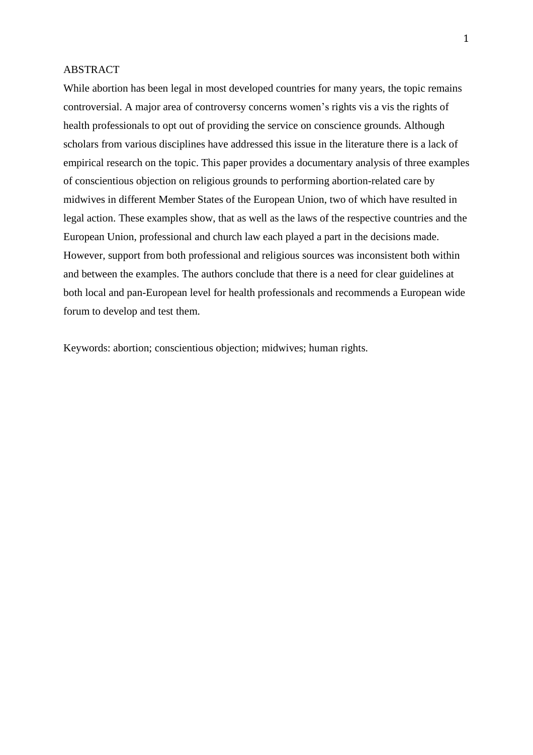# ABSTRACT

While abortion has been legal in most developed countries for many years, the topic remains controversial. A major area of controversy concerns women's rights vis a vis the rights of health professionals to opt out of providing the service on conscience grounds. Although scholars from various disciplines have addressed this issue in the literature there is a lack of empirical research on the topic. This paper provides a documentary analysis of three examples of conscientious objection on religious grounds to performing abortion-related care by midwives in different Member States of the European Union, two of which have resulted in legal action. These examples show, that as well as the laws of the respective countries and the European Union, professional and church law each played a part in the decisions made. However, support from both professional and religious sources was inconsistent both within and between the examples. The authors conclude that there is a need for clear guidelines at both local and pan-European level for health professionals and recommends a European wide forum to develop and test them.

Keywords: abortion; conscientious objection; midwives; human rights.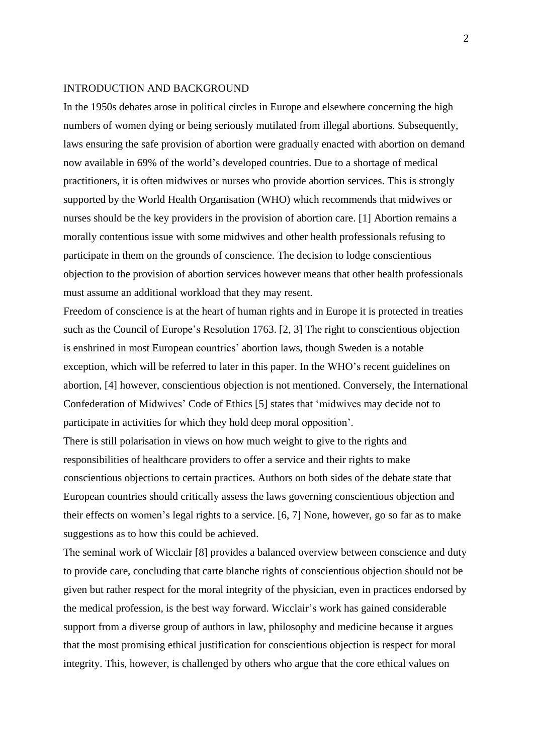#### INTRODUCTION AND BACKGROUND

In the 1950s debates arose in political circles in Europe and elsewhere concerning the high numbers of women dying or being seriously mutilated from illegal abortions. Subsequently, laws ensuring the safe provision of abortion were gradually enacted with abortion on demand now available in 69% of the world's developed countries. Due to a shortage of medical practitioners, it is often midwives or nurses who provide abortion services. This is strongly supported by the World Health Organisation (WHO) which recommends that midwives or nurses should be the key providers in the provision of abortion care. [1] Abortion remains a morally contentious issue with some midwives and other health professionals refusing to participate in them on the grounds of conscience. The decision to lodge conscientious objection to the provision of abortion services however means that other health professionals must assume an additional workload that they may resent.

Freedom of conscience is at the heart of human rights and in Europe it is protected in treaties such as the Council of Europe's Resolution 1763. [2, 3] The right to conscientious objection is enshrined in most European countries' abortion laws, though Sweden is a notable exception, which will be referred to later in this paper. In the WHO's recent guidelines on abortion, [4] however, conscientious objection is not mentioned. Conversely, the International Confederation of Midwives' Code of Ethics [5] states that 'midwives may decide not to participate in activities for which they hold deep moral opposition'.

There is still polarisation in views on how much weight to give to the rights and responsibilities of healthcare providers to offer a service and their rights to make conscientious objections to certain practices. Authors on both sides of the debate state that European countries should critically assess the laws governing conscientious objection and their effects on women's legal rights to a service. [6, 7] None, however, go so far as to make suggestions as to how this could be achieved.

The seminal work of Wicclair [8] provides a balanced overview between conscience and duty to provide care, concluding that carte blanche rights of conscientious objection should not be given but rather respect for the moral integrity of the physician, even in practices endorsed by the medical profession, is the best way forward. Wicclair's work has gained considerable support from a diverse group of authors in law, philosophy and medicine because it argues that the most promising ethical justification for conscientious objection is respect for moral integrity. This, however, is challenged by others who argue that the core ethical values on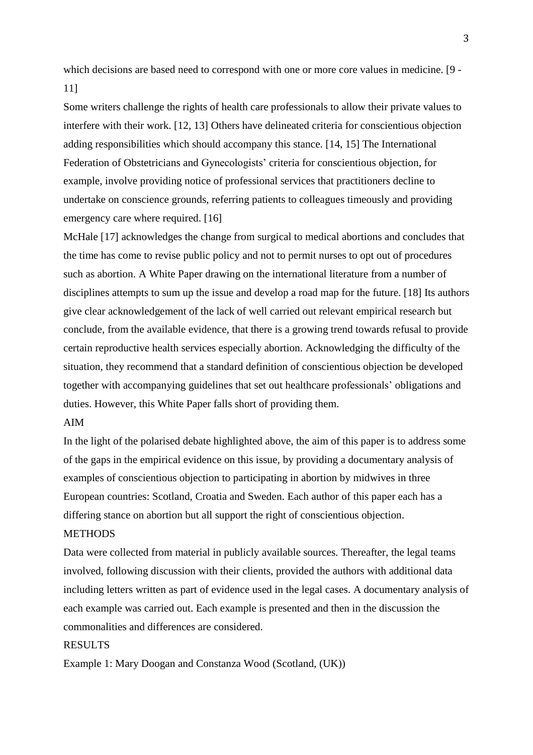which decisions are based need to correspond with one or more core values in medicine. [9 - 11]

Some writers challenge the rights of health care professionals to allow their private values to interfere with their work. [12, 13] Others have delineated criteria for conscientious objection adding responsibilities which should accompany this stance. [14, 15] The International Federation of Obstetricians and Gynecologists' criteria for conscientious objection, for example, involve providing notice of professional services that practitioners decline to undertake on conscience grounds, referring patients to colleagues timeously and providing emergency care where required. [16]

McHale [17] acknowledges the change from surgical to medical abortions and concludes that the time has come to revise public policy and not to permit nurses to opt out of procedures such as abortion. A White Paper drawing on the international literature from a number of disciplines attempts to sum up the issue and develop a road map for the future. [18] Its authors give clear acknowledgement of the lack of well carried out relevant empirical research but conclude, from the available evidence, that there is a growing trend towards refusal to provide certain reproductive health services especially abortion. Acknowledging the difficulty of the situation, they recommend that a standard definition of conscientious objection be developed together with accompanying guidelines that set out healthcare professionals' obligations and duties. However, this White Paper falls short of providing them.

#### AIM

In the light of the polarised debate highlighted above, the aim of this paper is to address some of the gaps in the empirical evidence on this issue, by providing a documentary analysis of examples of conscientious objection to participating in abortion by midwives in three European countries: Scotland, Croatia and Sweden. Each author of this paper each has a differing stance on abortion but all support the right of conscientious objection. **METHODS** 

Data were collected from material in publicly available sources. Thereafter, the legal teams involved, following discussion with their clients, provided the authors with additional data including letters written as part of evidence used in the legal cases. A documentary analysis of each example was carried out. Each example is presented and then in the discussion the commonalities and differences are considered.

### RESULTS

Example 1: Mary Doogan and Constanza Wood (Scotland, (UK))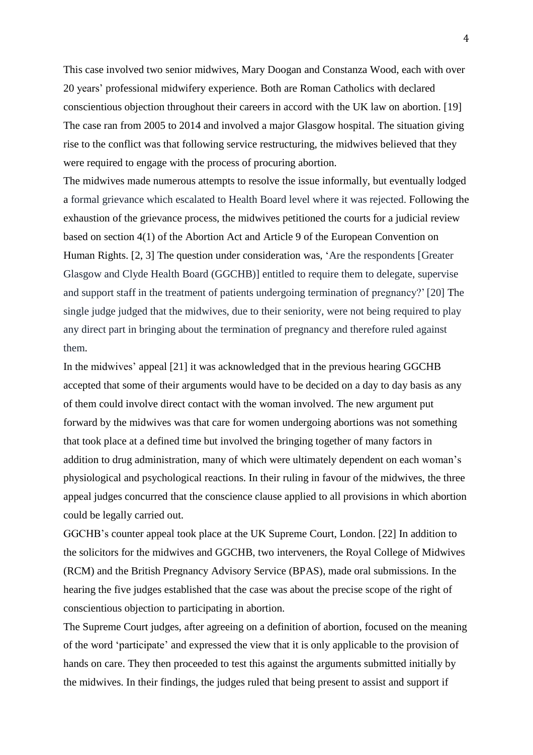This case involved two senior midwives, Mary Doogan and Constanza Wood, each with over 20 years' professional midwifery experience. Both are Roman Catholics with declared conscientious objection throughout their careers in accord with the UK law on abortion. [19] The case ran from 2005 to 2014 and involved a major Glasgow hospital. The situation giving rise to the conflict was that following service restructuring, the midwives believed that they were required to engage with the process of procuring abortion.

The midwives made numerous attempts to resolve the issue informally, but eventually lodged a formal grievance which escalated to Health Board level where it was rejected. Following the exhaustion of the grievance process, the midwives petitioned the courts for a judicial review based on section 4(1) of the Abortion Act and Article 9 of the European Convention on Human Rights. [2, 3] The question under consideration was, 'Are the respondents [Greater Glasgow and Clyde Health Board (GGCHB)] entitled to require them to delegate, supervise and support staff in the treatment of patients undergoing termination of pregnancy?' [20] The single judge judged that the midwives, due to their seniority, were not being required to play any direct part in bringing about the termination of pregnancy and therefore ruled against them.

In the midwives' appeal [21] it was acknowledged that in the previous hearing GGCHB accepted that some of their arguments would have to be decided on a day to day basis as any of them could involve direct contact with the woman involved. The new argument put forward by the midwives was that care for women undergoing abortions was not something that took place at a defined time but involved the bringing together of many factors in addition to drug administration, many of which were ultimately dependent on each woman's physiological and psychological reactions. In their ruling in favour of the midwives, the three appeal judges concurred that the conscience clause applied to all provisions in which abortion could be legally carried out.

GGCHB's counter appeal took place at the UK Supreme Court, London. [22] In addition to the solicitors for the midwives and GGCHB, two interveners, the Royal College of Midwives (RCM) and the British Pregnancy Advisory Service (BPAS), made oral submissions. In the hearing the five judges established that the case was about the precise scope of the right of conscientious objection to participating in abortion.

The Supreme Court judges, after agreeing on a definition of abortion, focused on the meaning of the word 'participate' and expressed the view that it is only applicable to the provision of hands on care. They then proceeded to test this against the arguments submitted initially by the midwives. In their findings, the judges ruled that being present to assist and support if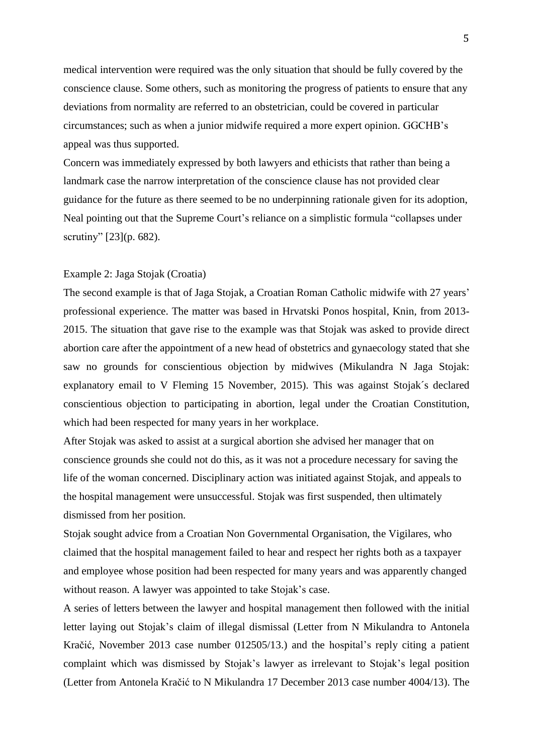medical intervention were required was the only situation that should be fully covered by the conscience clause. Some others, such as monitoring the progress of patients to ensure that any deviations from normality are referred to an obstetrician, could be covered in particular circumstances; such as when a junior midwife required a more expert opinion. GGCHB's appeal was thus supported.

Concern was immediately expressed by both lawyers and ethicists that rather than being a landmark case the narrow interpretation of the conscience clause has not provided clear guidance for the future as there seemed to be no underpinning rationale given for its adoption, Neal pointing out that the Supreme Court's reliance on a simplistic formula "collapses under scrutiny" [23](p. 682).

#### Example 2: Jaga Stojak (Croatia)

The second example is that of Jaga Stojak, a Croatian Roman Catholic midwife with 27 years' professional experience. The matter was based in Hrvatski Ponos hospital, Knin, from 2013- 2015. The situation that gave rise to the example was that Stojak was asked to provide direct abortion care after the appointment of a new head of obstetrics and gynaecology stated that she saw no grounds for conscientious objection by midwives (Mikulandra N Jaga Stojak: explanatory email to V Fleming 15 November, 2015). This was against Stojak´s declared conscientious objection to participating in abortion, legal under the Croatian Constitution, which had been respected for many years in her workplace.

After Stojak was asked to assist at a surgical abortion she advised her manager that on conscience grounds she could not do this, as it was not a procedure necessary for saving the life of the woman concerned. Disciplinary action was initiated against Stojak, and appeals to the hospital management were unsuccessful. Stojak was first suspended, then ultimately dismissed from her position.

Stojak sought advice from a Croatian Non Governmental Organisation, the Vigilares, who claimed that the hospital management failed to hear and respect her rights both as a taxpayer and employee whose position had been respected for many years and was apparently changed without reason. A lawyer was appointed to take Stojak's case.

A series of letters between the lawyer and hospital management then followed with the initial letter laying out Stojak's claim of illegal dismissal (Letter from N Mikulandra to Antonela Kračić, November 2013 case number 012505/13.) and the hospital's reply citing a patient complaint which was dismissed by Stojak's lawyer as irrelevant to Stojak's legal position (Letter from Antonela Kračić to N Mikulandra 17 December 2013 case number 4004/13). The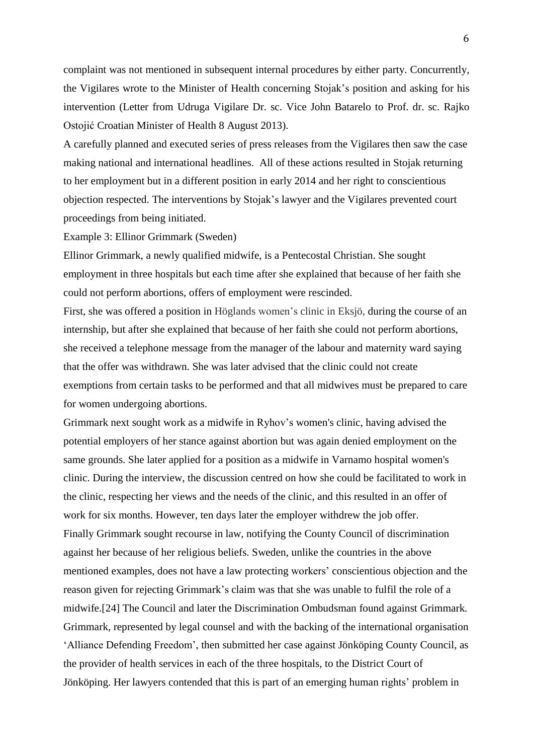complaint was not mentioned in subsequent internal procedures by either party. Concurrently, the Vigilares wrote to the Minister of Health concerning Stojak's position and asking for his intervention (Letter from Udruga Vigilare Dr. sc. Vice John Batarelo to Prof. dr. sc. Rajko Ostojić Croatian Minister of Health 8 August 2013).

A carefully planned and executed series of press releases from the Vigilares then saw the case making national and international headlines. All of these actions resulted in Stojak returning to her employment but in a different position in early 2014 and her right to conscientious objection respected. The interventions by Stojak's lawyer and the Vigilares prevented court proceedings from being initiated.

Example 3: Ellinor Grimmark (Sweden)

Ellinor Grimmark, a newly qualified midwife, is a Pentecostal Christian. She sought employment in three hospitals but each time after she explained that because of her faith she could not perform abortions, offers of employment were rescinded.

First, she was offered a position in Höglands women's clinic in Eksjö, during the course of an internship, but after she explained that because of her faith she could not perform abortions, she received a telephone message from the manager of the labour and maternity ward saying that the offer was withdrawn. She was later advised that the clinic could not create exemptions from certain tasks to be performed and that all midwives must be prepared to care for women undergoing abortions.

Grimmark next sought work as a midwife in Ryhov's women's clinic, having advised the potential employers of her stance against abortion but was again denied employment on the same grounds. She later applied for a position as a midwife in Varnamo hospital women's clinic. During the interview, the discussion centred on how she could be facilitated to work in the clinic, respecting her views and the needs of the clinic, and this resulted in an offer of work for six months. However, ten days later the employer withdrew the job offer. Finally Grimmark sought recourse in law, notifying the County Council of discrimination against her because of her religious beliefs. Sweden, unlike the countries in the above mentioned examples, does not have a law protecting workers' conscientious objection and the reason given for rejecting Grimmark's claim was that she was unable to fulfil the role of a midwife.[24] The Council and later the Discrimination Ombudsman found against Grimmark. Grimmark, represented by legal counsel and with the backing of the international organisation 'Alliance Defending Freedom', then submitted her case against Jönköping County Council, as the provider of health services in each of the three hospitals, to the District Court of Jönköping. Her lawyers contended that this is part of an emerging human rights' problem in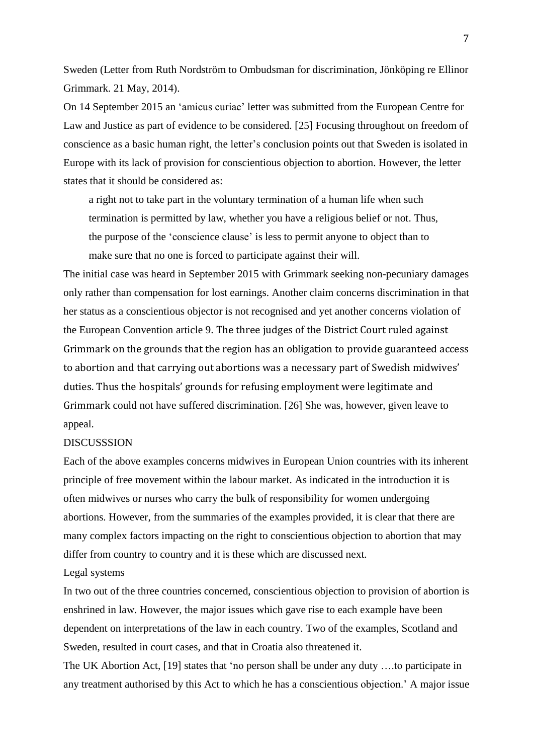Sweden (Letter from Ruth Nordström to Ombudsman for discrimination, Jönköping re Ellinor Grimmark. 21 May, 2014).

On 14 September 2015 an 'amicus curiae' letter was submitted from the European Centre for Law and Justice as part of evidence to be considered. [25] Focusing throughout on freedom of conscience as a basic human right, the letter's conclusion points out that Sweden is isolated in Europe with its lack of provision for conscientious objection to abortion. However, the letter states that it should be considered as:

a right not to take part in the voluntary termination of a human life when such termination is permitted by law, whether you have a religious belief or not. Thus, the purpose of the 'conscience clause' is less to permit anyone to object than to make sure that no one is forced to participate against their will.

The initial case was heard in September 2015 with Grimmark seeking non-pecuniary damages only rather than compensation for lost earnings. Another claim concerns discrimination in that her status as a conscientious objector is not recognised and yet another concerns violation of the European Convention article 9. The three judges of the District Court ruled against Grimmark on the grounds that the region has an obligation to provide guaranteed access to abortion and that carrying out abortions was a necessary part of Swedish midwives' duties. Thus the hospitals' grounds for refusing employment were legitimate and Grimmark could not have suffered discrimination. [26] She was, however, given leave to appeal.

#### **DISCUSSSION**

Each of the above examples concerns midwives in European Union countries with its inherent principle of free movement within the labour market. As indicated in the introduction it is often midwives or nurses who carry the bulk of responsibility for women undergoing abortions. However, from the summaries of the examples provided, it is clear that there are many complex factors impacting on the right to conscientious objection to abortion that may differ from country to country and it is these which are discussed next. Legal systems

In two out of the three countries concerned, conscientious objection to provision of abortion is enshrined in law. However, the major issues which gave rise to each example have been dependent on interpretations of the law in each country. Two of the examples, Scotland and Sweden, resulted in court cases, and that in Croatia also threatened it.

The UK Abortion Act, [19] states that 'no person shall be under any duty ….to participate in any treatment authorised by this Act to which he has a conscientious objection.' A major issue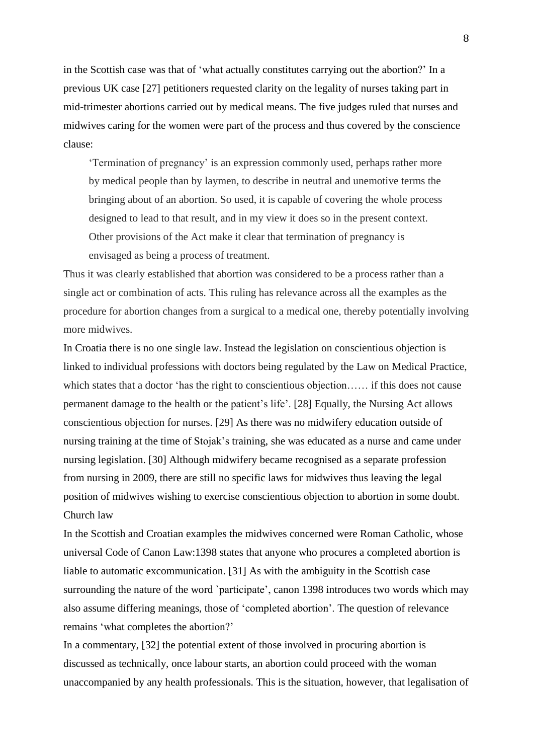in the Scottish case was that of 'what actually constitutes carrying out the abortion?' In a previous UK case [27] petitioners requested clarity on the legality of nurses taking part in mid-trimester abortions carried out by medical means. The five judges ruled that nurses and midwives caring for the women were part of the process and thus covered by the conscience clause:

'Termination of pregnancy' is an expression commonly used, perhaps rather more by medical people than by laymen, to describe in neutral and unemotive terms the bringing about of an abortion. So used, it is capable of covering the whole process designed to lead to that result, and in my view it does so in the present context. Other provisions of the Act make it clear that termination of pregnancy is envisaged as being a process of treatment.

Thus it was clearly established that abortion was considered to be a process rather than a single act or combination of acts. This ruling has relevance across all the examples as the procedure for abortion changes from a surgical to a medical one, thereby potentially involving more midwives.

In Croatia there is no one single law. Instead the legislation on conscientious objection is linked to individual professions with doctors being regulated by the Law on Medical Practice, which states that a doctor 'has the right to conscientious objection...... if this does not cause permanent damage to the health or the patient's life'. [28] Equally, the Nursing Act allows conscientious objection for nurses. [29] As there was no midwifery education outside of nursing training at the time of Stojak's training, she was educated as a nurse and came under nursing legislation. [30] Although midwifery became recognised as a separate profession from nursing in 2009, there are still no specific laws for midwives thus leaving the legal position of midwives wishing to exercise conscientious objection to abortion in some doubt. Church law

In the Scottish and Croatian examples the midwives concerned were Roman Catholic, whose universal Code of Canon Law:1398 states that anyone who procures a completed abortion is liable to automatic excommunication. [31] As with the ambiguity in the Scottish case surrounding the nature of the word 'participate', canon 1398 introduces two words which may also assume differing meanings, those of 'completed abortion'. The question of relevance remains 'what completes the abortion?'

In a commentary, [32] the potential extent of those involved in procuring abortion is discussed as technically, once labour starts, an abortion could proceed with the woman unaccompanied by any health professionals. This is the situation, however, that legalisation of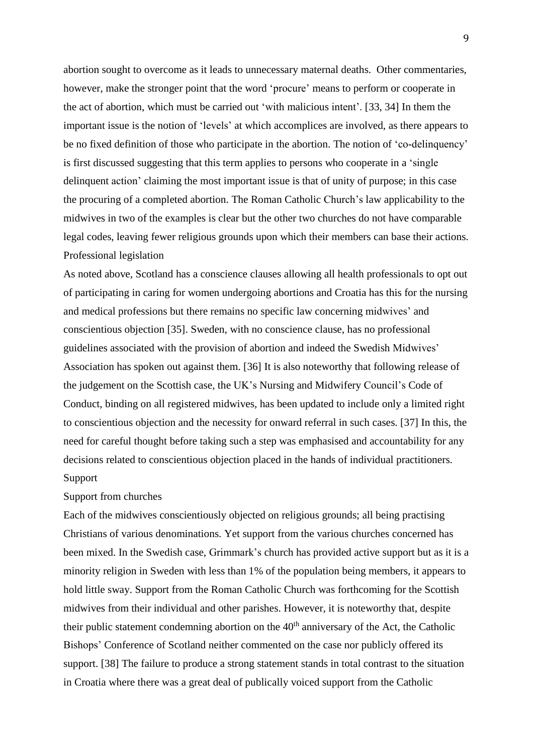abortion sought to overcome as it leads to unnecessary maternal deaths. Other commentaries, however, make the stronger point that the word 'procure' means to perform or cooperate in the act of abortion, which must be carried out 'with malicious intent'. [33, 34] In them the important issue is the notion of 'levels' at which accomplices are involved, as there appears to be no fixed definition of those who participate in the abortion. The notion of 'co-delinquency' is first discussed suggesting that this term applies to persons who cooperate in a 'single delinquent action' claiming the most important issue is that of unity of purpose; in this case the procuring of a completed abortion. The Roman Catholic Church's law applicability to the midwives in two of the examples is clear but the other two churches do not have comparable legal codes, leaving fewer religious grounds upon which their members can base their actions. Professional legislation

As noted above, Scotland has a conscience clauses allowing all health professionals to opt out of participating in caring for women undergoing abortions and Croatia has this for the nursing and medical professions but there remains no specific law concerning midwives' and conscientious objection [35]. Sweden, with no conscience clause, has no professional guidelines associated with the provision of abortion and indeed the Swedish Midwives' Association has spoken out against them. [36] It is also noteworthy that following release of the judgement on the Scottish case, the UK's Nursing and Midwifery Council's Code of Conduct, binding on all registered midwives, has been updated to include only a limited right to conscientious objection and the necessity for onward referral in such cases. [37] In this, the need for careful thought before taking such a step was emphasised and accountability for any decisions related to conscientious objection placed in the hands of individual practitioners. Support

#### Support from churches

Each of the midwives conscientiously objected on religious grounds; all being practising Christians of various denominations. Yet support from the various churches concerned has been mixed. In the Swedish case, Grimmark's church has provided active support but as it is a minority religion in Sweden with less than 1% of the population being members, it appears to hold little sway. Support from the Roman Catholic Church was forthcoming for the Scottish midwives from their individual and other parishes. However, it is noteworthy that, despite their public statement condemning abortion on the  $40<sup>th</sup>$  anniversary of the Act, the Catholic Bishops' Conference of Scotland neither commented on the case nor publicly offered its support. [38] The failure to produce a strong statement stands in total contrast to the situation in Croatia where there was a great deal of publically voiced support from the Catholic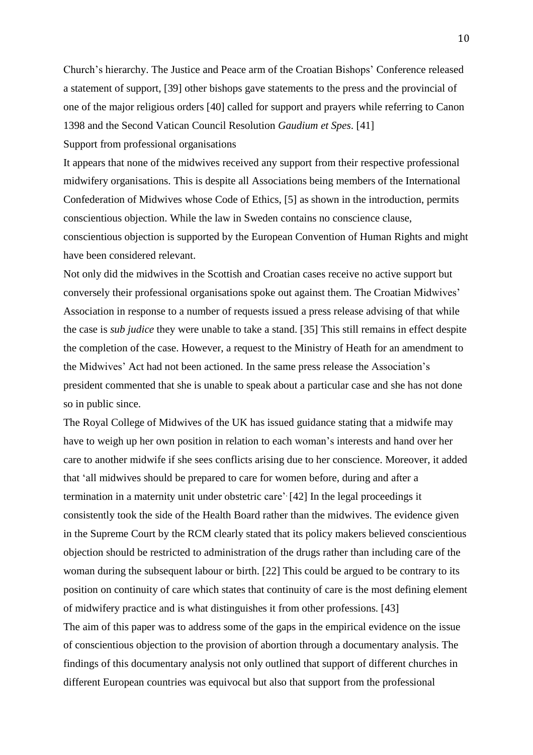Church's hierarchy. The Justice and Peace arm of the Croatian Bishops' Conference released a statement of support, [39] other bishops gave statements to the press and the provincial of one of the major religious orders [40] called for support and prayers while referring to Canon 1398 and the Second Vatican Council Resolution *Gaudium et Spes*. [41]

Support from professional organisations

It appears that none of the midwives received any support from their respective professional midwifery organisations. This is despite all Associations being members of the International Confederation of Midwives whose Code of Ethics, [5] as shown in the introduction, permits conscientious objection. While the law in Sweden contains no conscience clause, conscientious objection is supported by the European Convention of Human Rights and might have been considered relevant.

Not only did the midwives in the Scottish and Croatian cases receive no active support but conversely their professional organisations spoke out against them. The Croatian Midwives' Association in response to a number of requests issued a press release advising of that while the case is *sub judice* they were unable to take a stand. [35] This still remains in effect despite the completion of the case. However, a request to the Ministry of Heath for an amendment to the Midwives' Act had not been actioned. In the same press release the Association's president commented that she is unable to speak about a particular case and she has not done so in public since.

The Royal College of Midwives of the UK has issued guidance stating that a midwife may have to weigh up her own position in relation to each woman's interests and hand over her care to another midwife if she sees conflicts arising due to her conscience. Moreover, it added that 'all midwives should be prepared to care for women before, during and after a termination in a maternity unit under obstetric care'. [42] In the legal proceedings it consistently took the side of the Health Board rather than the midwives. The evidence given in the Supreme Court by the RCM clearly stated that its policy makers believed conscientious objection should be restricted to administration of the drugs rather than including care of the woman during the subsequent labour or birth. [22] This could be argued to be contrary to its position on continuity of care which states that continuity of care is the most defining element of midwifery practice and is what distinguishes it from other professions. [43] The aim of this paper was to address some of the gaps in the empirical evidence on the issue of conscientious objection to the provision of abortion through a documentary analysis. The findings of this documentary analysis not only outlined that support of different churches in different European countries was equivocal but also that support from the professional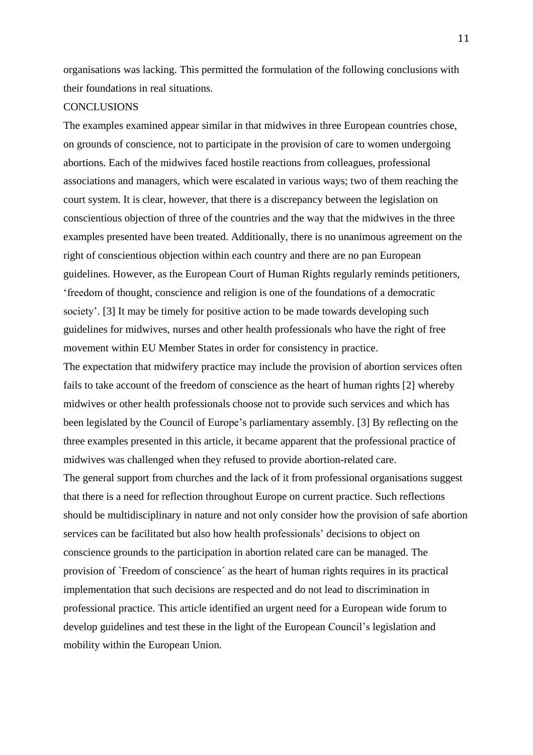organisations was lacking. This permitted the formulation of the following conclusions with their foundations in real situations.

## **CONCLUSIONS**

The examples examined appear similar in that midwives in three European countries chose, on grounds of conscience, not to participate in the provision of care to women undergoing abortions. Each of the midwives faced hostile reactions from colleagues, professional associations and managers, which were escalated in various ways; two of them reaching the court system. It is clear, however, that there is a discrepancy between the legislation on conscientious objection of three of the countries and the way that the midwives in the three examples presented have been treated. Additionally, there is no unanimous agreement on the right of conscientious objection within each country and there are no pan European guidelines. However, as the European Court of Human Rights regularly reminds petitioners, 'freedom of thought, conscience and religion is one of the foundations of a democratic society'. [3] It may be timely for positive action to be made towards developing such guidelines for midwives, nurses and other health professionals who have the right of free movement within EU Member States in order for consistency in practice.

The expectation that midwifery practice may include the provision of abortion services often fails to take account of the freedom of conscience as the heart of human rights [2] whereby midwives or other health professionals choose not to provide such services and which has been legislated by the Council of Europe's parliamentary assembly. [3] By reflecting on the three examples presented in this article, it became apparent that the professional practice of midwives was challenged when they refused to provide abortion-related care.

The general support from churches and the lack of it from professional organisations suggest that there is a need for reflection throughout Europe on current practice. Such reflections should be multidisciplinary in nature and not only consider how the provision of safe abortion services can be facilitated but also how health professionals' decisions to object on conscience grounds to the participation in abortion related care can be managed. The provision of `Freedom of conscience´ as the heart of human rights requires in its practical implementation that such decisions are respected and do not lead to discrimination in professional practice. This article identified an urgent need for a European wide forum to develop guidelines and test these in the light of the European Council's legislation and mobility within the European Union.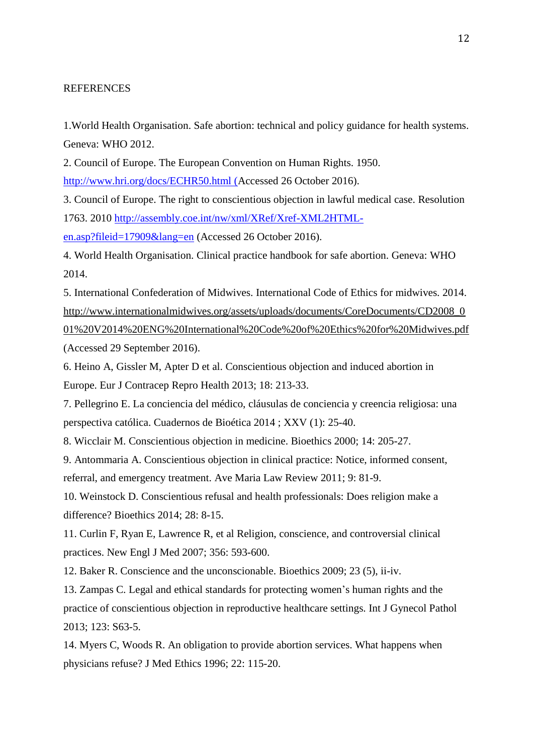#### **REFERENCES**

1.World Health Organisation. Safe abortion: technical and policy guidance for health systems. Geneva: WHO 2012.

2. Council of Europe. The European Convention on Human Rights. 1950.

<http://www.hri.org/docs/ECHR50.html> (Accessed 26 October 2016).

3. Council of Europe. The right to conscientious objection in lawful medical case. Resolution 1763. 2010 [http://assembly.coe.int/nw/xml/XRef/Xref-XML2HTML-](http://assembly.coe.int/nw/xml/XRef/Xref-XML2HTML-en.asp?fileid=17909&lang=en)

[en.asp?fileid=17909&lang=en](http://assembly.coe.int/nw/xml/XRef/Xref-XML2HTML-en.asp?fileid=17909&lang=en) (Accessed 26 October 2016).

4. World Health Organisation. Clinical practice handbook for safe abortion. Geneva: WHO 2014.

5. International Confederation of Midwives. International Code of Ethics for midwives. 2014. [http://www.internationalmidwives.org/assets/uploads/documents/CoreDocuments/CD2008\\_0](http://www.internationalmidwives.org/assets/uploads/documents/CoreDocuments/CD2008_001%20V2014%20ENG%20International%20Code%20of%20Ethics%20for%20Midwives.pdf) [01%20V2014%20ENG%20International%20Code%20of%20Ethics%20for%20Midwives.pdf](http://www.internationalmidwives.org/assets/uploads/documents/CoreDocuments/CD2008_001%20V2014%20ENG%20International%20Code%20of%20Ethics%20for%20Midwives.pdf) (Accessed 29 September 2016).

6. Heino A, Gissler M, Apter D et al. Conscientious objection and induced abortion in Europe. Eur J Contracep Repro Health 2013; 18: 213-33.

7. Pellegrino E. La conciencia del médico, cláusulas de conciencia y creencia religiosa: una perspectiva católica. Cuadernos de Bioética 2014 ; XXV (1): 25-40.

8. Wicclair M. Conscientious objection in medicine. Bioethics 2000; 14: 205-27.

9. Antommaria A. Conscientious objection in clinical practice: Notice, informed consent, referral, and emergency treatment. Ave Maria Law Review 2011; 9: 81-9.

10. Weinstock D. Conscientious refusal and health professionals: Does religion make a difference? Bioethics 2014; 28: 8-15.

11. Curlin F, Ryan E, Lawrence R, et al Religion, conscience, and controversial clinical practices. New Engl J Med 2007; 356: 593-600.

12. Baker R. Conscience and the unconscionable. Bioethics 2009; 23 (5), ii-iv.

13. Zampas C. Legal and ethical standards for protecting women's human rights and the practice of conscientious objection in reproductive healthcare settings. Int J Gynecol Pathol 2013; 123: S63-5.

14. Myers C, Woods R. An obligation to provide abortion services. What happens when physicians refuse? J Med Ethics 1996; 22: 115-20.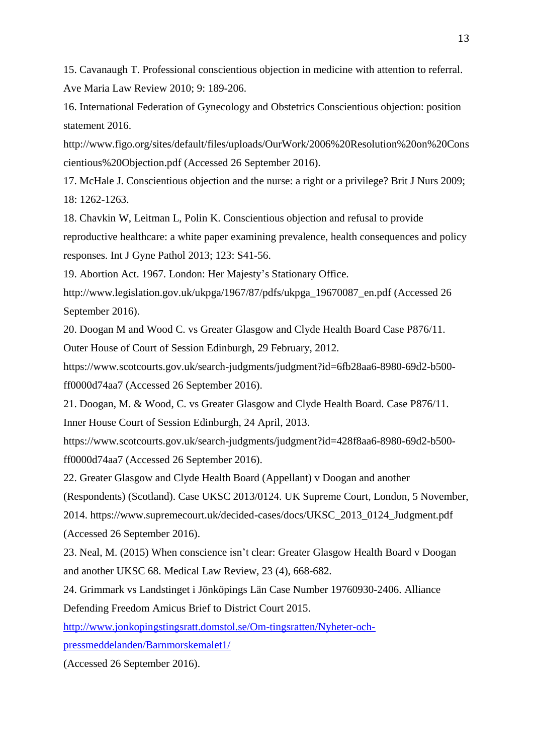15. Cavanaugh T. Professional conscientious objection in medicine with attention to referral. Ave Maria Law Review 2010; 9: 189-206.

16. International Federation of Gynecology and Obstetrics Conscientious objection: position statement 2016.

[http://www.figo.org/sites/default/files/uploads/OurWork/2006%20Resolution%20on%20Cons](http://www.figo.org/sites/default/files/uploads/OurWork/2006%2520Resolution%2520on%2520Conscientious%2520Objection.pdf) [cientious%20Objection.pdf](http://www.figo.org/sites/default/files/uploads/OurWork/2006%2520Resolution%2520on%2520Conscientious%2520Objection.pdf) (Accessed 26 September 2016).

17. McHale J. Conscientious objection and the nurse: a right or a privilege? Brit J Nurs 2009; 18: 1262-1263.

18. Chavkin W, Leitman L, Polin K. Conscientious objection and refusal to provide reproductive healthcare: a white paper examining prevalence, health consequences and policy responses. Int J Gyne Pathol 2013; 123: S41-56.

19. Abortion Act. 1967. London: Her Majesty's Stationary Office.

[http://www.legislation.gov.uk/ukpga/1967/87/pdfs/ukpga\\_19670087\\_en.pdf](http://www.legislation.gov.uk/ukpga/1967/87/pdfs/ukpga_19670087_en.pdf) (Accessed 26 September 2016).

20. Doogan M and Wood C. vs Greater Glasgow and Clyde Health Board Case P876/11.

Outer House of Court of Session Edinburgh, 29 February, 2012.

[https://www.scotcourts.gov.uk/search-judgments/judgment?id=6fb28aa6-8980-69d2-b500](https://www.scotcourts.gov.uk/search-judgments/judgment?id=6fb28aa6-8980-69d2-b500-ff0000d74aa7) [ff0000d74aa7](https://www.scotcourts.gov.uk/search-judgments/judgment?id=6fb28aa6-8980-69d2-b500-ff0000d74aa7) (Accessed 26 September 2016).

21. Doogan, M. & Wood, C. vs Greater Glasgow and Clyde Health Board. Case P876/11. Inner House Court of Session Edinburgh, 24 April, 2013.

[https://www.scotcourts.gov.uk/search-judgments/judgment?id=428f8aa6-8980-69d2-b500](https://www.scotcourts.gov.uk/search-judgments/judgment?id=428f8aa6-8980-69d2-b500-ff0000d74aa7) [ff0000d74aa7](https://www.scotcourts.gov.uk/search-judgments/judgment?id=428f8aa6-8980-69d2-b500-ff0000d74aa7) (Accessed 26 September 2016).

22. Greater Glasgow and Clyde Health Board (Appellant) v Doogan and another

(Respondents) (Scotland). Case UKSC 2013/0124. UK Supreme Court, London, 5 November,

2014. [https://www.supremecourt.uk/decided-cases/docs/UKSC\\_2013\\_0124\\_Judgment.pdf](https://www.supremecourt.uk/decided-cases/docs/UKSC_2013_0124_Judgment.pdf) (Accessed 26 September 2016).

23. Neal, M. (2015) When conscience isn't clear: Greater Glasgow Health Board v Doogan and another UKSC 68. Medical Law Review, 23 (4), 668-682.

24. Grimmark vs Landstinget i Jönköpings Län Case Number 19760930-2406. Alliance Defending Freedom Amicus Brief to District Court 2015.

[http://www.jonkopingstingsratt.domstol.se/Om-tingsratten/Nyheter-och-](http://www.jonkopingstingsratt.domstol.se/Om-tingsratten/Nyheter-och-pressmeddelanden/Barnmorskemalet1/)

[pressmeddelanden/Barnmorskemalet1/](http://www.jonkopingstingsratt.domstol.se/Om-tingsratten/Nyheter-och-pressmeddelanden/Barnmorskemalet1/)

(Accessed 26 September 2016).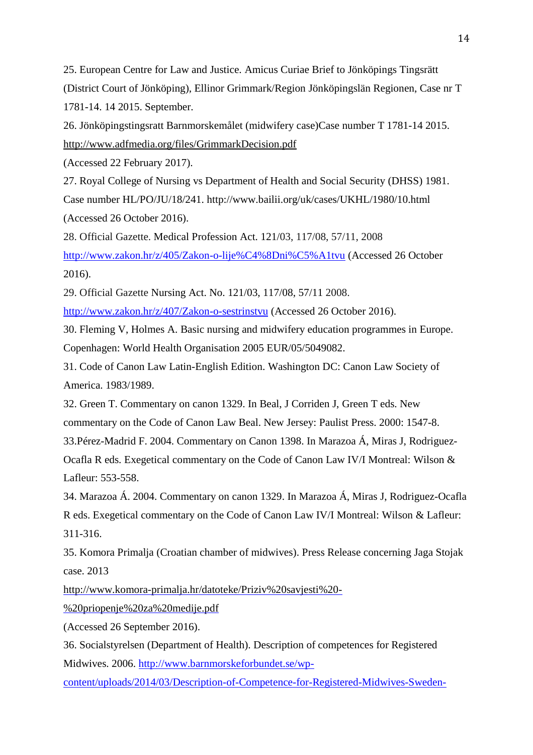25. European Centre for Law and Justice. Amicus Curiae Brief to Jönköpings Tingsrätt (District Court of Jönköping), Ellinor Grimmark/Region Jönköpingslän Regionen, Case nr T 1781-14. 14 2015. September.

26. Jönköpingstingsratt Barnmorskemålet (midwifery case)Case number T 1781-14 2015. <http://www.adfmedia.org/files/GrimmarkDecision.pdf>

(Accessed 22 February 2017).

27. Royal College of Nursing vs Department of Health and Social Security (DHSS) 1981. Case number HL/PO/JU/18/241. <http://www.bailii.org/uk/cases/UKHL/1980/10.html> (Accessed 26 October 2016).

28. Official Gazette. Medical Profession Act. 121/03, 117/08, 57/11, 2008 [http://www.zakon.hr/z/405/Zakon-o-lije%C4%8Dni%C5%A1tvu](http://www.zakon.hr/z/405/Zakon-o-lije%25C4%258Dni%25C5%25A1tvu) (Accessed 26 October 2016).

29. Official Gazette Nursing Act. No. 121/03, 117/08, 57/11 2008.

<http://www.zakon.hr/z/407/Zakon-o-sestrinstvu> (Accessed 26 October 2016).

30. Fleming V, Holmes A. Basic nursing and midwifery education programmes in Europe. Copenhagen: World Health Organisation 2005 EUR/05/5049082.

31. Code of Canon Law Latin-English Edition. Washington DC: Canon Law Society of America. 1983/1989.

32. Green T. Commentary on canon 1329. In Beal, J Corriden J, Green T eds. New commentary on the Code of Canon Law Beal. New Jersey: Paulist Press. 2000: 1547-8.

33.Pérez-Madrid F. 2004. Commentary on Canon 1398. In Marazoa Á, Miras J, Rodriguez-

Ocafla R eds. Exegetical commentary on the Code of Canon Law IV/I Montreal: Wilson & Lafleur: 553-558.

34. Marazoa Á. 2004. Commentary on canon 1329. In Marazoa Á, Miras J, Rodriguez-Ocafla R eds. Exegetical commentary on the Code of Canon Law IV/I Montreal: Wilson & Lafleur: 311-316.

35. Komora Primalja (Croatian chamber of midwives). Press Release concerning Jaga Stojak case. 2013

[http://www.komora-primalja.hr/datoteke/Priziv%20savjesti%20-](http://www.komora-primalja.hr/datoteke/Priziv%2520savjesti%2520-%2520priopenje%2520za%2520medije.pdf)

[%20priopenje%20za%20medije.pdf](http://www.komora-primalja.hr/datoteke/Priziv%2520savjesti%2520-%2520priopenje%2520za%2520medije.pdf)

(Accessed 26 September 2016).

36. Socialstyrelsen (Department of Health). Description of competences for Registered Midwives. 2006. [http://www.barnmorskeforbundet.se/wp-](http://www.barnmorskeforbundet.se/wp-content/uploads/2014/03/Description-of-Competence-for-Registered-Midwives-Sweden-2006-Socialstyrelsen-Translated-by-The-Swedish-Association-of-Midwives.pdf)

[content/uploads/2014/03/Description-of-Competence-for-Registered-Midwives-Sweden-](http://www.barnmorskeforbundet.se/wp-content/uploads/2014/03/Description-of-Competence-for-Registered-Midwives-Sweden-2006-Socialstyrelsen-Translated-by-The-Swedish-Association-of-Midwives.pdf)